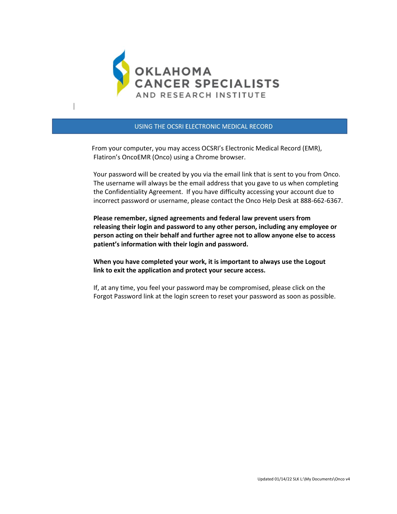

## USING THE OCSRI ELECTRONIC MEDICAL RECORD

 From your computer, you may access OCSRI's Electronic Medical Record (EMR), Flatiron's OncoEMR (Onco) using a Chrome browser.

 Your password will be created by you via the email link that is sent to you from Onco. The username will always be the email address that you gave to us when completing the Confidentiality Agreement. If you have difficulty accessing your account due to incorrect password or username, please contact the Onco Help Desk at 888-662-6367.

 **Please remember, signed agreements and federal law prevent users from releasing their login and password to any other person, including any employee or person acting on their behalf and further agree not to allow anyone else to access patient's information with their login and password.** 

 **When you have completed your work, it is important to always use the Logout link to exit the application and protect your secure access.**

 If, at any time, you feel your password may be compromised, please click on the Forgot Password link at the login screen to reset your password as soon as possible.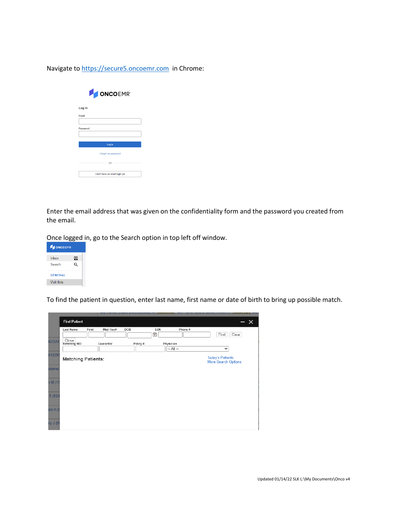Navigate to [https://secure5.oncoemr.com](https://secure5.oncoemr.com/) in Chrome:

| <b>DONCOEMR</b> ®               |  |  |  |
|---------------------------------|--|--|--|
| Log in                          |  |  |  |
| <b>Fmail</b>                    |  |  |  |
| Password                        |  |  |  |
|                                 |  |  |  |
| Log in                          |  |  |  |
| I forgot my password            |  |  |  |
| OR                              |  |  |  |
| I don't have an email login yet |  |  |  |

Enter the email address that was given on the confidentiality form and the password you created from the email.

Once logged in, go to the Search option in top left off window.



To find the patient in question, enter last name, first name or date of birth to bring up possible match.